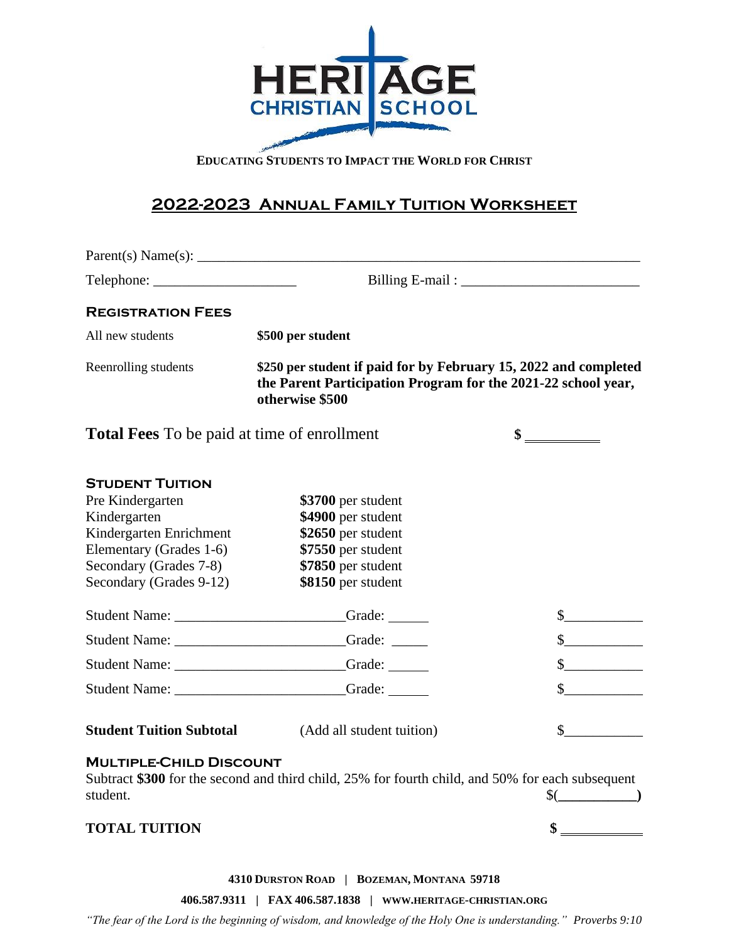

**EDUCATING STUDENTS TO IMPACT THE WORLD FOR CHRIST**

## **2022-2023 Annual Family Tuition Worksheet**

| Parent(s) Name(s):                                                                                                                                                    |                                                                                                                                                                 |                                                                                                                                                                                                                                                                                                                                                                              |  |
|-----------------------------------------------------------------------------------------------------------------------------------------------------------------------|-----------------------------------------------------------------------------------------------------------------------------------------------------------------|------------------------------------------------------------------------------------------------------------------------------------------------------------------------------------------------------------------------------------------------------------------------------------------------------------------------------------------------------------------------------|--|
|                                                                                                                                                                       |                                                                                                                                                                 |                                                                                                                                                                                                                                                                                                                                                                              |  |
| <b>REGISTRATION FEES</b>                                                                                                                                              |                                                                                                                                                                 |                                                                                                                                                                                                                                                                                                                                                                              |  |
| All new students                                                                                                                                                      | \$500 per student                                                                                                                                               |                                                                                                                                                                                                                                                                                                                                                                              |  |
| Reenrolling students                                                                                                                                                  | \$250 per student if paid for by February 15, 2022 and completed<br>the Parent Participation Program for the 2021-22 school year,<br>otherwise \$500            |                                                                                                                                                                                                                                                                                                                                                                              |  |
| <b>Total Fees</b> To be paid at time of enrollment                                                                                                                    |                                                                                                                                                                 | $\frac{\text{I}}{\text{I}}$                                                                                                                                                                                                                                                                                                                                                  |  |
| <b>STUDENT TUITION</b><br>Pre Kindergarten<br>Kindergarten<br>Kindergarten Enrichment<br>Elementary (Grades 1-6)<br>Secondary (Grades 7-8)<br>Secondary (Grades 9-12) | \$3700 per student<br>\$4900 per student<br>\$2650 per student<br>\$7550 per student<br>\$7850 per student<br>\$8150 per student<br>Student Name: Grade: Grade: | $\frac{\S_{\frac{1}{2}}}{\S_{\frac{1}{2}}}{\S_{\frac{1}{2}}}{\S_{\frac{1}{2}}}{\S_{\frac{1}{2}}}{\S_{\frac{1}{2}}}{\S_{\frac{1}{2}}}{\S_{\frac{1}{2}}}{\S_{\frac{1}{2}}}{\S_{\frac{1}{2}}}{\S_{\frac{1}{2}}}{\S_{\frac{1}{2}}}{\S_{\frac{1}{2}}}{\S_{\frac{1}{2}}}{\S_{\frac{1}{2}}}{\S_{\frac{1}{2}}}{\S_{\frac{1}{2}}}{\S_{\frac{1}{2}}}{\S_{\frac{1}{2}}}{\S_{\frac{1}{2$ |  |
|                                                                                                                                                                       | Student Name: Grade: Grade:                                                                                                                                     | $\sim$                                                                                                                                                                                                                                                                                                                                                                       |  |
|                                                                                                                                                                       | Student Name: Campaigneer Campaigneer Campaigneer Campaigneer Campaigneer Campaigneer Campaigneer Campaigneer                                                   | $\sim$<br>$\sim$                                                                                                                                                                                                                                                                                                                                                             |  |
| <b>Student Tuition Subtotal</b>                                                                                                                                       | (Add all student tuition)                                                                                                                                       | $\sim$                                                                                                                                                                                                                                                                                                                                                                       |  |
| <b>MULTIPLE-CHILD DISCOUNT</b><br>student.                                                                                                                            | Subtract \$300 for the second and third child, 25% for fourth child, and 50% for each subsequent                                                                | $\left(\frac{\gamma}{\gamma}\right)$                                                                                                                                                                                                                                                                                                                                         |  |
| <b>TOTAL TUITION</b>                                                                                                                                                  |                                                                                                                                                                 | $\frac{\text{S}}{\text{S}}$                                                                                                                                                                                                                                                                                                                                                  |  |

**4310 DURSTON ROAD | BOZEMAN, MONTANA 59718**

**406.587.9311 | FAX 406.587.1838 | WWW.HERITAGE-CHRISTIAN.ORG**

*"The fear of the Lord is the beginning of wisdom, and knowledge of the Holy One is understanding." Proverbs 9:10*